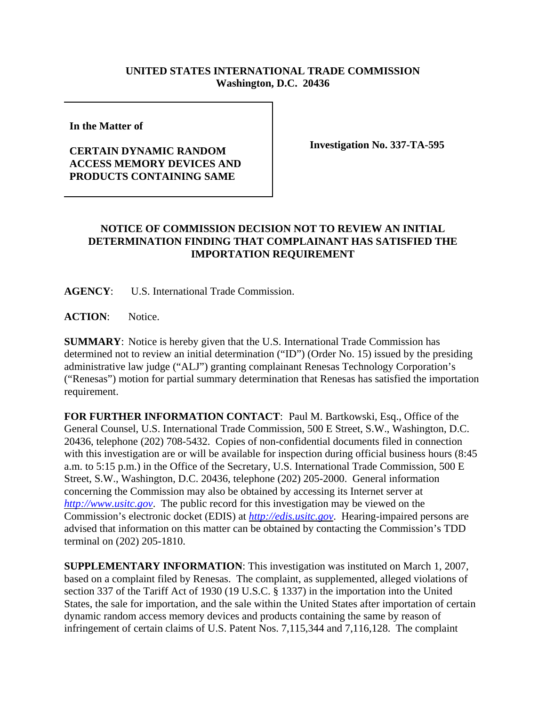## **UNITED STATES INTERNATIONAL TRADE COMMISSION Washington, D.C. 20436**

**In the Matter of** 

## **CERTAIN DYNAMIC RANDOM ACCESS MEMORY DEVICES AND PRODUCTS CONTAINING SAME**

**Investigation No. 337-TA-595**

## **NOTICE OF COMMISSION DECISION NOT TO REVIEW AN INITIAL DETERMINATION FINDING THAT COMPLAINANT HAS SATISFIED THE IMPORTATION REQUIREMENT**

**AGENCY**: U.S. International Trade Commission.

ACTION: Notice.

**SUMMARY**: Notice is hereby given that the U.S. International Trade Commission has determined not to review an initial determination ("ID") (Order No. 15) issued by the presiding administrative law judge ("ALJ") granting complainant Renesas Technology Corporation's ("Renesas") motion for partial summary determination that Renesas has satisfied the importation requirement.

**FOR FURTHER INFORMATION CONTACT**: Paul M. Bartkowski, Esq., Office of the General Counsel, U.S. International Trade Commission, 500 E Street, S.W., Washington, D.C. 20436, telephone (202) 708-5432. Copies of non-confidential documents filed in connection with this investigation are or will be available for inspection during official business hours (8:45 a.m. to 5:15 p.m.) in the Office of the Secretary, U.S. International Trade Commission, 500 E Street, S.W., Washington, D.C. 20436, telephone (202) 205-2000. General information concerning the Commission may also be obtained by accessing its Internet server at *http://www.usitc.gov*. The public record for this investigation may be viewed on the Commission's electronic docket (EDIS) at *http://edis.usitc.gov*. Hearing-impaired persons are advised that information on this matter can be obtained by contacting the Commission's TDD terminal on (202) 205-1810.

**SUPPLEMENTARY INFORMATION**: This investigation was instituted on March 1, 2007, based on a complaint filed by Renesas. The complaint, as supplemented, alleged violations of section 337 of the Tariff Act of 1930 (19 U.S.C. § 1337) in the importation into the United States, the sale for importation, and the sale within the United States after importation of certain dynamic random access memory devices and products containing the same by reason of infringement of certain claims of U.S. Patent Nos. 7,115,344 and 7,116,128. The complaint